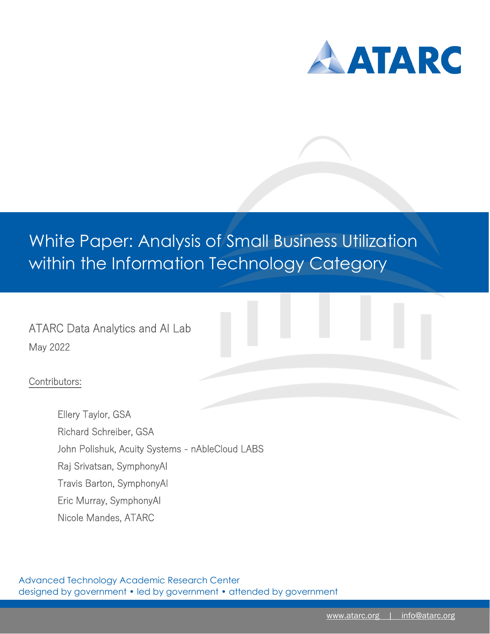

# White Paper: Analysis of Small Business Utilization within the Information Technology Category

ATARC Data Analytics and AI Lab May 2022

### Contributors:

Ellery Taylor, GSA Richard Schreiber, GSA John Polishuk, Acuity Systems - nAbleCloud LABS Raj Srivatsan, SymphonyAI Travis Barton, SymphonyAI Eric Murray, SymphonyAI Nicole Mandes, ATARC

Advanced Technology Academic Research Center designed by government • led by government • attended by government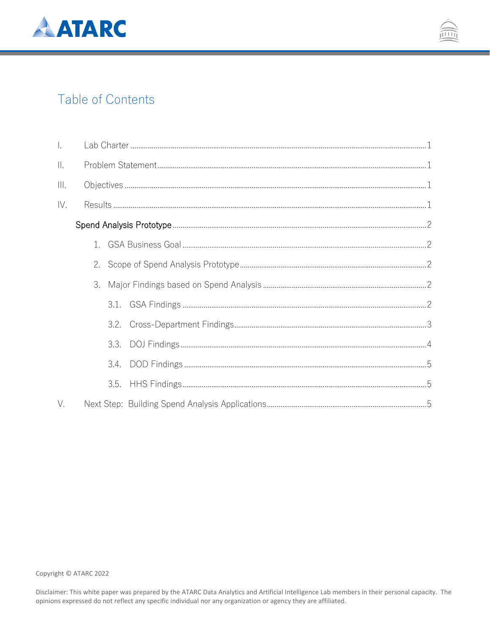



# Table of Contents

| $\vert$ .           |                                                                                                                                                                                                                                                                                                                                                                                                               |      |  |  |
|---------------------|---------------------------------------------------------------------------------------------------------------------------------------------------------------------------------------------------------------------------------------------------------------------------------------------------------------------------------------------------------------------------------------------------------------|------|--|--|
| $\mathbf{II}$ .     |                                                                                                                                                                                                                                                                                                                                                                                                               |      |  |  |
| $\vert\vert\vert$ . | $\textit{Objectives}\,\, \textit{}\,\, \textit{}\,\, \textit{}\,\, \textit{}\,\, \textit{}\,\, \textit{}\,\, \textit{}\,\, \textit{}\,\, \textit{}\,\, \textit{}\,\, \textit{}\,\, \textit{}\,\, \textit{}\,\, \textit{}\,\, \textit{}\,\, \textit{}\,\, \textit{}\,\, \textit{}\,\, \textit{}\,\, \textit{}\,\, \textit{}\,\, \textit{}\,\, \textit{}\,\, \textit{}\,\, \textit{}\,\, \textit{}\,\, \textit$ |      |  |  |
| IV.                 |                                                                                                                                                                                                                                                                                                                                                                                                               |      |  |  |
|                     |                                                                                                                                                                                                                                                                                                                                                                                                               |      |  |  |
|                     |                                                                                                                                                                                                                                                                                                                                                                                                               |      |  |  |
|                     | 2.                                                                                                                                                                                                                                                                                                                                                                                                            |      |  |  |
|                     | 3.                                                                                                                                                                                                                                                                                                                                                                                                            |      |  |  |
|                     |                                                                                                                                                                                                                                                                                                                                                                                                               |      |  |  |
|                     |                                                                                                                                                                                                                                                                                                                                                                                                               |      |  |  |
|                     |                                                                                                                                                                                                                                                                                                                                                                                                               |      |  |  |
|                     |                                                                                                                                                                                                                                                                                                                                                                                                               | 3.4. |  |  |
|                     |                                                                                                                                                                                                                                                                                                                                                                                                               | 3.5. |  |  |
| V.                  |                                                                                                                                                                                                                                                                                                                                                                                                               |      |  |  |

Copyright © ATARC 2022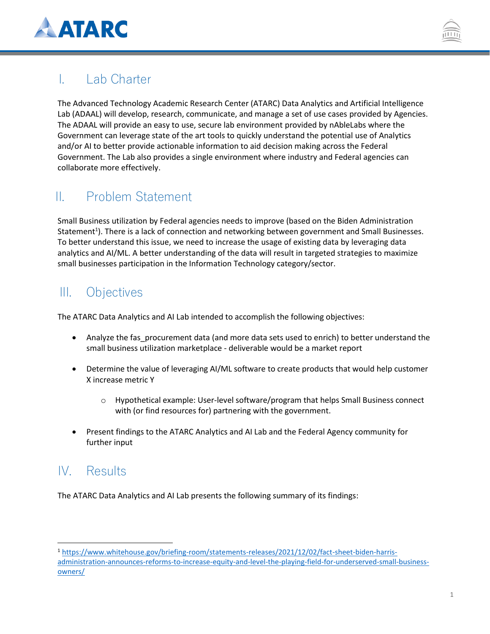



# <span id="page-2-0"></span>I. Lab Charter

The Advanced Technology Academic Research Center (ATARC) Data Analytics and Artificial Intelligence Lab (ADAAL) will develop, research, communicate, and manage a set of use cases provided by Agencies. The ADAAL will provide an easy to use, secure lab environment provided by nAbleLabs where the Government can leverage state of the art tools to quickly understand the potential use of Analytics and/or AI to better provide actionable information to aid decision making across the Federal Government. The Lab also provides a single environment where industry and Federal agencies can collaborate more effectively.

# <span id="page-2-1"></span>II. Problem Statement

Small Business utilization by Federal agencies needs to improve (based on the Biden Administration Statement<sup>1</sup>). There is a lack of connection and networking between government and Small Businesses. To better understand this issue, we need to increase the usage of existing data by leveraging data analytics and AI/ML. A better understanding of the data will result in targeted strategies to maximize small businesses participation in the Information Technology category/sector.

# <span id="page-2-2"></span>III. Objectives

The ATARC Data Analytics and AI Lab intended to accomplish the following objectives:

- Analyze the fas\_procurement data (and more data sets used to enrich) to better understand the small business utilization marketplace - deliverable would be a market report
- Determine the value of leveraging AI/ML software to create products that would help customer X increase metric Y
	- o Hypothetical example: User-level software/program that helps Small Business connect with (or find resources for) partnering with the government.
- Present findings to the ATARC Analytics and AI Lab and the Federal Agency community for further input

# <span id="page-2-3"></span>IV. Results

The ATARC Data Analytics and AI Lab presents the following summary of its findings:

<sup>1</sup> [https://www.whitehouse.gov/briefing-room/statements-releases/2021/12/02/fact-sheet-biden-harris](https://www.whitehouse.gov/briefing-room/statements-releases/2021/12/02/fact-sheet-biden-harris-administration-announces-reforms-to-increase-equity-and-level-the-playing-field-for-underserved-small-business-owners/)[administration-announces-reforms-to-increase-equity-and-level-the-playing-field-for-underserved-small-business](https://www.whitehouse.gov/briefing-room/statements-releases/2021/12/02/fact-sheet-biden-harris-administration-announces-reforms-to-increase-equity-and-level-the-playing-field-for-underserved-small-business-owners/)[owners/](https://www.whitehouse.gov/briefing-room/statements-releases/2021/12/02/fact-sheet-biden-harris-administration-announces-reforms-to-increase-equity-and-level-the-playing-field-for-underserved-small-business-owners/)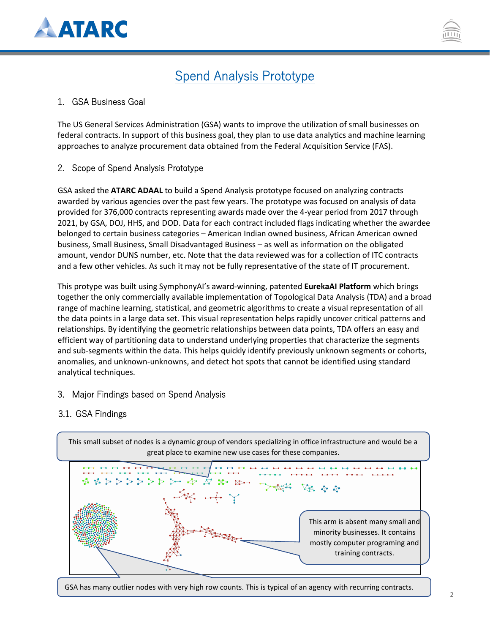



# Spend Analysis Prototype

### <span id="page-3-1"></span><span id="page-3-0"></span>1. GSA Business Goal

The US General Services Administration (GSA) wants to improve the utilization of small businesses on federal contracts. In support of this business goal, they plan to use data analytics and machine learning approaches to analyze procurement data obtained from the Federal Acquisition Service (FAS).

### <span id="page-3-2"></span>2. Scope of Spend Analysis Prototype

GSA asked the **ATARC ADAAL** to build a Spend Analysis prototype focused on analyzing contracts awarded by various agencies over the past few years. The prototype was focused on analysis of data provided for 376,000 contracts representing awards made over the 4-year period from 2017 through 2021, by GSA, DOJ, HHS, and DOD. Data for each contract included flags indicating whether the awardee belonged to certain business categories – American Indian owned business, African American owned business, Small Business, Small Disadvantaged Business – as well as information on the obligated amount, vendor DUNS number, etc. Note that the data reviewed was for a collection of ITC contracts and a few other vehicles. As such it may not be fully representative of the state of IT procurement.

This protype was built using SymphonyAI's award-winning, patented **EurekaAI Platform** which brings together the only commercially available implementation of Topological Data Analysis (TDA) and a broad range of machine learning, statistical, and geometric algorithms to create a visual representation of all the data points in a large data set. This visual representation helps rapidly uncover critical patterns and relationships. By identifying the geometric relationships between data points, TDA offers an easy and efficient way of partitioning data to understand underlying properties that characterize the segments and sub-segments within the data. This helps quickly identify previously unknown segments or cohorts, anomalies, and unknown-unknowns, and detect hot spots that cannot be identified using standard analytical techniques.

### <span id="page-3-3"></span>3. Major Findings based on Spend Analysis

### <span id="page-3-4"></span>3.1. GSA Findings



GSA has many outlier nodes with very high row counts. This is typical of an agency with recurring contracts.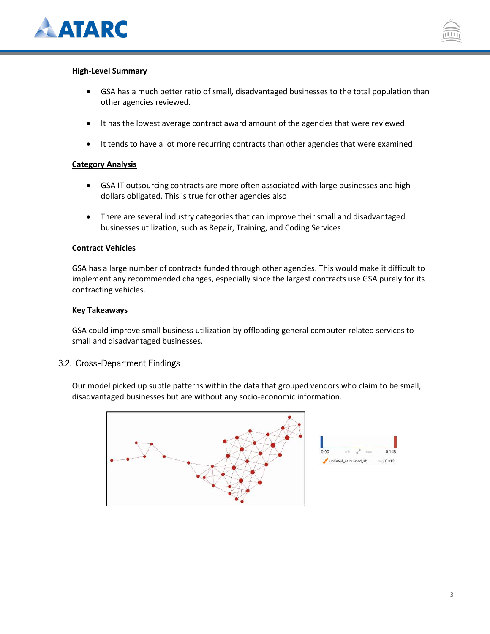



#### **High-Level Summary**

- GSA has a much better ratio of small, disadvantaged businesses to the total population than other agencies reviewed.
- It has the lowest average contract award amount of the agencies that were reviewed
- It tends to have a lot more recurring contracts than other agencies that were examined

#### **Category Analysis**

- GSA IT outsourcing contracts are more often associated with large businesses and high dollars obligated. This is true for other agencies also
- There are several industry categories that can improve their small and disadvantaged businesses utilization, such as Repair, Training, and Coding Services

#### **Contract Vehicles**

GSA has a large number of contracts funded through other agencies. This would make it difficult to implement any recommended changes, especially since the largest contracts use GSA purely for its contracting vehicles.

#### **Key Takeaways**

GSA could improve small business utilization by offloading general computer-related services to small and disadvantaged businesses.

### <span id="page-4-0"></span>3.2. Cross-Department Findings

Our model picked up subtle patterns within the data that grouped vendors who claim to be small, disadvantaged businesses but are without any socio-economic information.

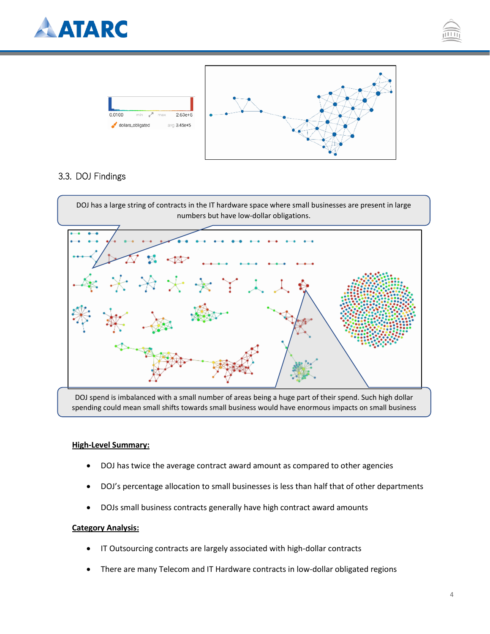





## <span id="page-5-0"></span>3.3. DOJ Findings



DOJ spend is imbalanced with a small number of areas being a huge part of their spend. Such high dollar spending could mean small shifts towards small business would have enormous impacts on small business

utilization.<br>Taxonomia

#### **High-Level Summary:**

- DOJ has twice the average contract award amount as compared to other agencies
- DOJ's percentage allocation to small businesses is less than half that of other departments
- DOJs small business contracts generally have high contract award amounts

### **Category Analysis:**

- IT Outsourcing contracts are largely associated with high-dollar contracts
- There are many Telecom and IT Hardware contracts in low-dollar obligated regions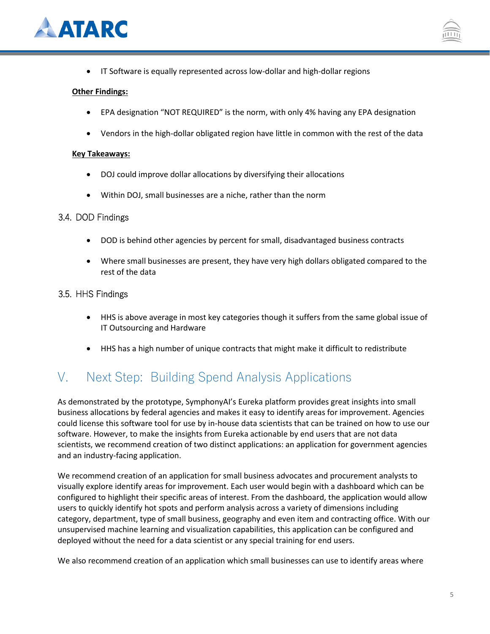



• IT Software is equally represented across low-dollar and high-dollar regions

#### **Other Findings:**

- EPA designation "NOT REQUIRED" is the norm, with only 4% having any EPA designation
- Vendors in the high-dollar obligated region have little in common with the rest of the data

#### **Key Takeaways:**

- DOJ could improve dollar allocations by diversifying their allocations
- Within DOJ, small businesses are a niche, rather than the norm

#### <span id="page-6-0"></span>3.4. DOD Findings

- DOD is behind other agencies by percent for small, disadvantaged business contracts
- Where small businesses are present, they have very high dollars obligated compared to the rest of the data

#### <span id="page-6-1"></span>3.5. HHS Findings

- HHS is above average in most key categories though it suffers from the same global issue of IT Outsourcing and Hardware
- HHS has a high number of unique contracts that might make it difficult to redistribute

# <span id="page-6-2"></span>V. Next Step: Building Spend Analysis Applications

As demonstrated by the prototype, SymphonyAI's Eureka platform provides great insights into small business allocations by federal agencies and makes it easy to identify areas for improvement. Agencies could license this software tool for use by in-house data scientists that can be trained on how to use our software. However, to make the insights from Eureka actionable by end users that are not data scientists, we recommend creation of two distinct applications: an application for government agencies and an industry-facing application.

We recommend creation of an application for small business advocates and procurement analysts to visually explore identify areas for improvement. Each user would begin with a dashboard which can be configured to highlight their specific areas of interest. From the dashboard, the application would allow users to quickly identify hot spots and perform analysis across a variety of dimensions including category, department, type of small business, geography and even item and contracting office. With our unsupervised machine learning and visualization capabilities, this application can be configured and deployed without the need for a data scientist or any special training for end users.

We also recommend creation of an application which small businesses can use to identify areas where